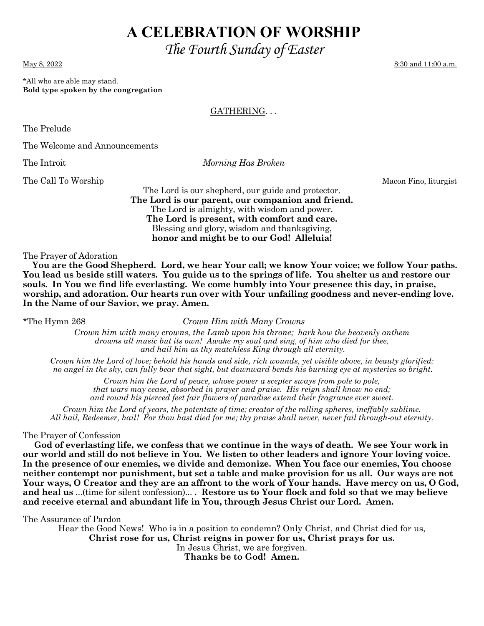# **A CELEBRATION OF WORSHIP**

*The Fourth Sunday of Easter* 

\*All who are able may stand. **Bold type spoken by the congregation** 

## GATHERING. . .

The Prelude

The Welcome and Announcements

The Introit *Morning Has Broken*

The Call To Worship Macon Fino, liturgist

The Lord is our shepherd, our guide and protector. **The Lord is our parent, our companion and friend.**  The Lord is almighty, with wisdom and power. **The Lord is present, with comfort and care.**  Blessing and glory, wisdom and thanksgiving, **honor and might be to our God! Alleluia!** 

The Prayer of Adoration

 **You are the Good Shepherd. Lord, we hear Your call; we know Your voice; we follow Your paths. You lead us beside still waters. You guide us to the springs of life. You shelter us and restore our souls. In You we find life everlasting. We come humbly into Your presence this day, in praise, worship, and adoration. Our hearts run over with Your unfailing goodness and never-ending love. In the Name of our Savior, we pray. Amen.** 

\*The Hymn 268 *Crown Him with Many Crowns*

*Crown him with many crowns, the Lamb upon his throne; hark how the heavenly anthem drowns all music but its own! Awake my soul and sing, of him who died for thee, and hail him as thy matchless King through all eternity.* 

*Crown him the Lord of love; behold his hands and side, rich wounds, yet visible above, in beauty glorified: no angel in the sky, can fully bear that sight, but downward bends his burning eye at mysteries so bright.* 

*Crown him the Lord of peace, whose power a scepter sways from pole to pole, that wars may cease, absorbed in prayer and praise. His reign shall know no end; and round his pierced feet fair flowers of paradise extend their fragrance ever sweet.* 

*Crown him the Lord of years, the potentate of time; creator of the rolling spheres, ineffably sublime. All hail, Redeemer, hail! For thou hast died for me; thy praise shall never, never fail through-out eternity.* 

The Prayer of Confession

 **God of everlasting life, we confess that we continue in the ways of death. We see Your work in our world and still do not believe in You. We listen to other leaders and ignore Your loving voice. In the presence of our enemies, we divide and demonize. When You face our enemies, You choose neither contempt nor punishment, but set a table and make provision for us all. Our ways are not Your ways, O Creator and they are an affront to the work of Your hands. Have mercy on us, O God, and heal us** ...(time for silent confession)... **. Restore us to Your flock and fold so that we may believe and receive eternal and abundant life in You, through Jesus Christ our Lord. Amen.** 

The Assurance of Pardon

Hear the Good News! Who is in a position to condemn? Only Christ, and Christ died for us,

**Christ rose for us, Christ reigns in power for us, Christ prays for us.**

In Jesus Christ, we are forgiven.

**Thanks be to God! Amen.**

May 8, 2022 8:30 and 11:00 a.m.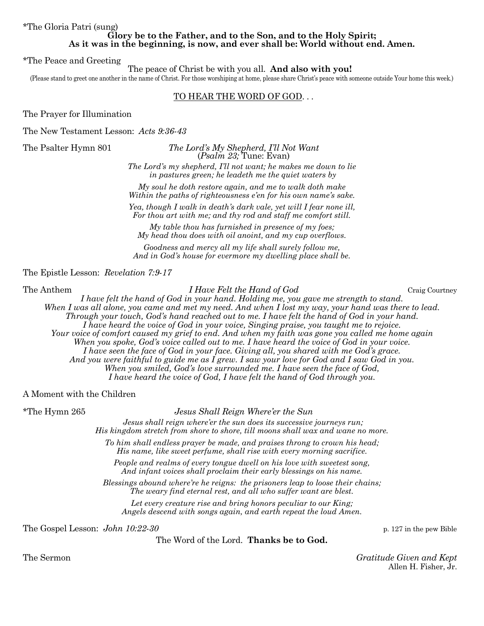\*The Gloria Patri (sung)

#### **Glory be to the Father, and to the Son, and to the Holy Spirit; As it was in the beginning, is now, and ever shall be: World without end. Amen.**

\*The Peace and Greeting

The peace of Christ be with you all. **And also with you!**

(Please stand to greet one another in the name of Christ. For those worshiping at home, please share Christ's peace with someone outside Your home this week.)

## TO HEAR THE WORD OF GOD. . .

The Prayer for Illumination

The New Testament Lesson: *Acts 9:36-43*

The Psalter Hymn 801 *The Lord's My Shepherd, I'll Not Want*  (*Psalm 23;* Tune: Evan)

> *The Lord's my shepherd, I'll not want; he makes me down to lie in pastures green; he leadeth me the quiet waters by*

> *My soul he doth restore again, and me to walk doth make Within the paths of righteousness e'en for his own name's sake.*

> *Yea, though I walk in death's dark vale, yet will I fear none ill, For thou art with me; and thy rod and staff me comfort still.*

*My table thou has furnished in presence of my foes; My head thou does with oil anoint, and my cup overflows.* 

*Goodness and mercy all my life shall surely follow me, And in God's house for evermore my dwelling place shall be.* 

The Epistle Lesson: *Revelation 7:9-17* 

### The Anthem *I Have Felt the Hand of God* Craig Courtney

*I have felt the hand of God in your hand. Holding me, you gave me strength to stand. When I was all alone, you came and met my need. And when I lost my way, your hand was there to lead. Through your touch, God's hand reached out to me. I have felt the hand of God in your hand. I have heard the voice of God in your voice, Singing praise, you taught me to rejoice. Your voice of comfort caused my grief to end. And when my faith was gone you called me home again When you spoke, God's voice called out to me. I have heard the voice of God in your voice. I have seen the face of God in your face. Giving all, you shared with me God's grace. And you were faithful to guide me as I grew. I saw your love for God and I saw God in you. When you smiled, God's love surrounded me. I have seen the face of God, I have heard the voice of God, I have felt the hand of God through you.* 

A Moment with the Children

\*The Hymn 265 *Jesus Shall Reign Where'er the Sun* 

 *Jesus shall reign where'er the sun does its successive journeys run; His kingdom stretch from shore to shore, till moons shall wax and wane no more.* 

*To him shall endless prayer be made, and praises throng to crown his head; His name, like sweet perfume, shall rise with every morning sacrifice.* 

*People and realms of every tongue dwell on his love with sweetest song, And infant voices shall proclaim their early blessings on his name.* 

*Blessings abound where're he reigns: the prisoners leap to loose their chains; The weary find eternal rest, and all who suffer want are blest.* 

*Let every creature rise and bring honors peculiar to our King; Angels descend with songs again, and earth repeat the loud Amen.* 

The Gospel Lesson: *John 10:22-30* p. 127 in the pew Bible

The Word of the Lord. **Thanks be to God.** 

The Sermon *Gratitude Given and Kept*  Allen H. Fisher, Jr.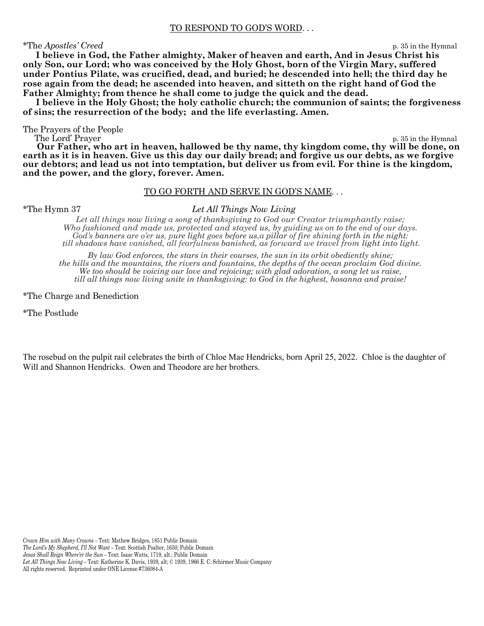#### TO RESPOND TO GOD'S WORD. . .

#### \*The *Apostles' Creed* p. 35 in the Hymnal

 **I believe in God, the Father almighty, Maker of heaven and earth, And in Jesus Christ his only Son, our Lord; who was conceived by the Holy Ghost, born of the Virgin Mary, suffered under Pontius Pilate, was crucified, dead, and buried; he descended into hell; the third day he rose again from the dead; he ascended into heaven, and sitteth on the right hand of God the Father Almighty; from thence he shall come to judge the quick and the dead.** 

 **I believe in the Holy Ghost; the holy catholic church; the communion of saints; the forgiveness of sins; the resurrection of the body; and the life everlasting. Amen.** 

The Prayers of the People

p. 35 in the Hymnal

 **Our Father, who art in heaven, hallowed be thy name, thy kingdom come, thy will be done, on earth as it is in heaven. Give us this day our daily bread; and forgive us our debts, as we forgive our debtors; and lead us not into temptation, but deliver us from evil. For thine is the kingdom, and the power, and the glory, forever. Amen.** 

#### TO GO FORTH AND SERVE IN GOD'S NAME. . .

#### \*The Hymn 37 *Let All Things Now Living*

Let all things now living a song of thanksgiving to God our Creator triumphantly raise; *Who fashioned and made us, protected and stayed us, by guiding us on to the end of our days. God's banners are o'er us, pure light goes before us,a pillar of fire shining forth in the night: till shadows have vanished, all fearfulness banished, as forward we travel from light into light.* 

*By law God enforces, the stars in their courses, the sun in its orbit obediently shine; the hills and the mountains, the rivers and fountains, the depths of the ocean proclaim God divine. We too should be voicing our love and rejoicing; with glad adoration, a song let us raise, till all things now living unite in thanksgiving: to God in the highest, hosanna and praise!* 

\*The Charge and Benediction

\*The Postlude

The rosebud on the pulpit rail celebrates the birth of Chloe Mae Hendricks, born April 25, 2022. Chloe is the daughter of Will and Shannon Hendricks. Owen and Theodore are her brothers.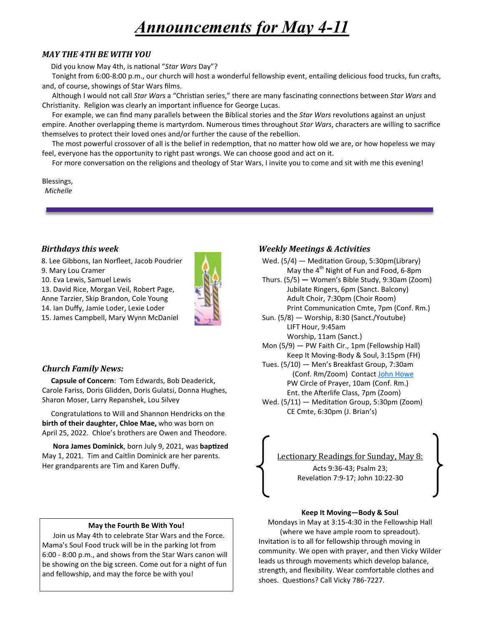# *Announcements for May 4-11*

# *MAY THE 4TH BE WITH YOU*

Did you know May 4th, is national "Star Wars Day"?

Tonight from 6:00-8:00 p.m., our church will host a wonderful fellowship event, entailing delicious food trucks, fun crafts, and, of course, showings of Star Wars films.

Although I would not call *Star Wars* a "Christian series," there are many fascinating connections between *Star Wars* and Christianity. Religion was clearly an important influence for George Lucas.

For example, we can find many parallels between the Biblical stories and the *Star Wars* revolutions against an unjust empire. Another overlapping theme is martyrdom. Numerous times throughout *Star Wars*, characters are willing to sacrifice themselves to protect their loved ones and/or further the cause of the rebellion.

The most powerful crossover of all is the belief in redemption, that no matter how old we are, or how hopeless we may feel, everyone has the opportunity to right past wrongs. We can choose good and act on it.

For more conversation on the religions and theology of Star Wars, I invite you to come and sit with me this evening!

Blessings, *Michelle* 

#### **Birthdays this week**

- 8. Lee Gibbons, Ian Norfleet, Jacob Poudrier
- 9. Mary Lou Cramer

10. Eva Lewis, Samuel Lewis

13. David Rice, Morgan Veil, Robert Page,

Anne Tarzier, Skip Brandon, Cole Young



## *Church Family News:*

 **Capsule of Concern**: Tom Edwards, Bob Deaderick, Carole Fariss, Doris Glidden, Doris Gulatsi, Donna Hughes, Sharon Moser, Larry Repanshek, Lou Silvey

Congratulations to Will and Shannon Hendricks on the **birth of their daughter, Chloe Mae,** who was born on April 25, 2022. Chloe's brothers are Owen and Theodore.

**Nora James Dominick**, born July 9, 2021, was **baptized** May 1, 2021. Tim and Caitlin Dominick are her parents. Her grandparents are Tim and Karen Duffy.

#### **May the Fourth Be With You!**

 Join us May 4th to celebrate Star Wars and the Force. Mama's Soul Food truck will be in the parking lot from 6:00 - 8:00 p.m., and shows from the Star Wars canon will be showing on the big screen. Come out for a night of fun and fellowship, and may the force be with you!

# *Weekly Meetings & Activities*

Wed. (5/4) — Meditation Group, 5:30pm(Library)

- May the  $4<sup>th</sup>$  Night of Fun and Food, 6-8pm Thurs. (5/5) **—** Women's Bible Study, 9:30am (Zoom) Jubilate Ringers, 6pm (Sanct. Balcony)
	- Adult Choir, 7:30pm (Choir Room) Print Communication Cmte, 7pm (Conf. Rm.)
- Sun. (5/8) Worship, 8:30 (Sanct./Youtube) LIFT Hour, 9:45am

Worship, 11am (Sanct.)

- Mon (5/9) PW Faith Cir., 1pm (Fellowship Hall) Keep It Moving-Body & Soul, 3:15pm (FH)
- Tues. (5/10) Men's Breakfast Group, 7:30am (Conf. Rm/Zoom) Contact John Howe PW Circle of Prayer, 10am (Conf. Rm.) Ent. the Afterlife Class, 7pm (Zoom)
- Wed.  $(5/11)$  Meditation Group, 5:30pm (Zoom) CE Cmte, 6:30pm (J. Brian's)

# Lectionary Readings for Sunday, May 8: Acts 9:36-43; Psalm 23;

Revelation 7:9-17; John 10:22-30

#### **Keep It Moving—Body & Soul**

Mondays in May at 3:15-4:30 in the Fellowship Hall (where we have ample room to spreadout). Invitation is to all for fellowship through moving in community. We open with prayer, and then Vicky Wilder leads us through movements which develop balance, strength, and flexibility. Wear comfortable clothes and shoes. Questions? Call Vicky 786-7227.